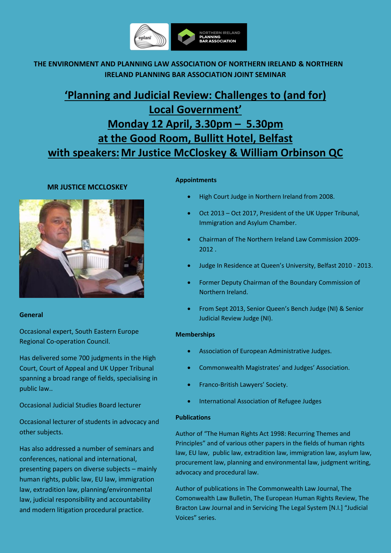

## **THE ENVIRONMENT AND PLANNING LAW ASSOCIATION OF NORTHERN IRELAND & NORTHERN IRELAND PLANNING BAR ASSOCIATION JOINT SEMINAR**

# **'Planning and Judicial Review: Challenges to (and for) Local Government' Monday 12 April, 3.30pm – 5.30pm at the Good Room, Bullitt Hotel, Belfast with speakers:Mr Justice McCloskey & William Orbinson QC**

### **MR JUSTICE MCCLOSKEY**



### **General**

Occasional expert, South Eastern Europe Regional Co-operation Council.

Has delivered some 700 judgments in the High Court, Court of Appeal and UK Upper Tribunal spanning a broad range of fields, specialising in public law..

Occasional Judicial Studies Board lecturer

Occasional lecturer of students in advocacy and other subjects.

Has also addressed a number of seminars and conferences, national and international, presenting papers on diverse subjects – mainly human rights, public law, EU law, immigration law, extradition law, planning/environmental law, judicial responsibility and accountability and modern litigation procedural practice.

### **Appointments**

- High Court Judge in Northern Ireland from 2008.
- Oct 2013 Oct 2017, President of the UK Upper Tribunal, Immigration and Asylum Chamber.
- Chairman of The Northern Ireland Law Commission 2009- 2012 .
- Judge In Residence at Queen's University, Belfast 2010 2013.
- Former Deputy Chairman of the Boundary Commission of Northern Ireland.
- From Sept 2013, Senior Queen's Bench Judge (NI) & Senior Judicial Review Judge (NI).

### **Memberships**

- Association of European Administrative Judges.
- Commonwealth Magistrates' and Judges' Association.
- Franco-British Lawyers' Society.
- International Association of Refugee Judges

### **Publications**

Author of "The Human Rights Act 1998: Recurring Themes and Principles" and of various other papers in the fields of human rights law, EU law, public law, extradition law, immigration law, asylum law, procurement law, planning and environmental law, judgment writing, advocacy and procedural law.

Author of publications in The Commonwealth Law Journal, The Comonwealth Law Bulletin, The European Human Rights Review, The Bracton Law Journal and in Servicing The Legal System [N.I.] "Judicial Voices" series.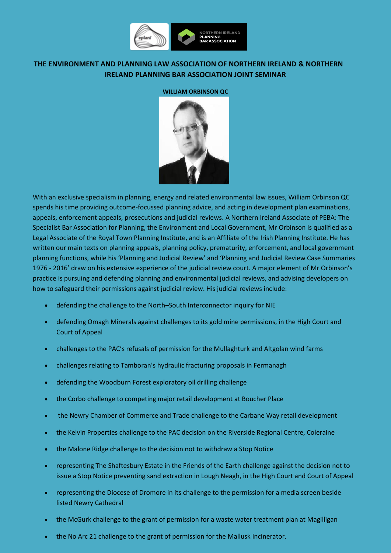

### **THE ENVIRONMENT AND PLANNING LAW ASSOCIATION OF NORTHERN IRELAND & NORTHERN IRELAND PLANNING BAR ASSOCIATION JOINT SEMINAR**

### **WILLIAM ORBINSON QC**



With an exclusive specialism in planning, energy and related environmental law issues, William Orbinson QC spends his time providing outcome-focussed planning advice, and acting in development plan examinations, appeals, enforcement appeals, prosecutions and judicial reviews. A Northern Ireland Associate of PEBA: The Specialist Bar Association for Planning, the Environment and Local Government, Mr Orbinson is qualified as a Legal Associate of the Royal Town Planning Institute, and is an Affiliate of the Irish Planning Institute. He has written our main texts on planning appeals, planning policy, prematurity, enforcement, and local government planning functions, while his 'Planning and Judicial Review' and 'Planning and Judicial Review Case Summaries 1976 - 2016' draw on his extensive experience of the judicial review court. A major element of Mr Orbinson's practice is pursuing and defending planning and environmental judicial reviews, and advising developers on how to safeguard their permissions against judicial review. His judicial reviews include:

- defending the challenge to the North–South Interconnector inquiry for NIE
- defending Omagh Minerals against challenges to its gold mine permissions, in the High Court and Court of Appeal
- challenges to the PAC's refusals of permission for the Mullaghturk and Altgolan wind farms
- challenges relating to Tamboran's hydraulic fracturing proposals in Fermanagh
- defending the Woodburn Forest exploratory oil drilling challenge
- the Corbo challenge to competing major retail development at Boucher Place
- the Newry Chamber of Commerce and Trade challenge to the Carbane Way retail development
- the Kelvin Properties challenge to the PAC decision on the Riverside Regional Centre, Coleraine
- the Malone Ridge challenge to the decision not to withdraw a Stop Notice
- representing The Shaftesbury Estate in the Friends of the Earth challenge against the decision not to issue a Stop Notice preventing sand extraction in Lough Neagh, in the High Court and Court of Appeal
- representing the Diocese of Dromore in its challenge to the permission for a media screen beside listed Newry Cathedral
- the McGurk challenge to the grant of permission for a waste water treatment plan at Magilligan
- the No Arc 21 challenge to the grant of permission for the Mallusk incinerator.